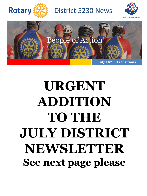

District 5230 News





**July 2021 - Transitions**

## **URGENT ADDITION TO THE JULY DISTRICT NEWSLETTER See next page please**